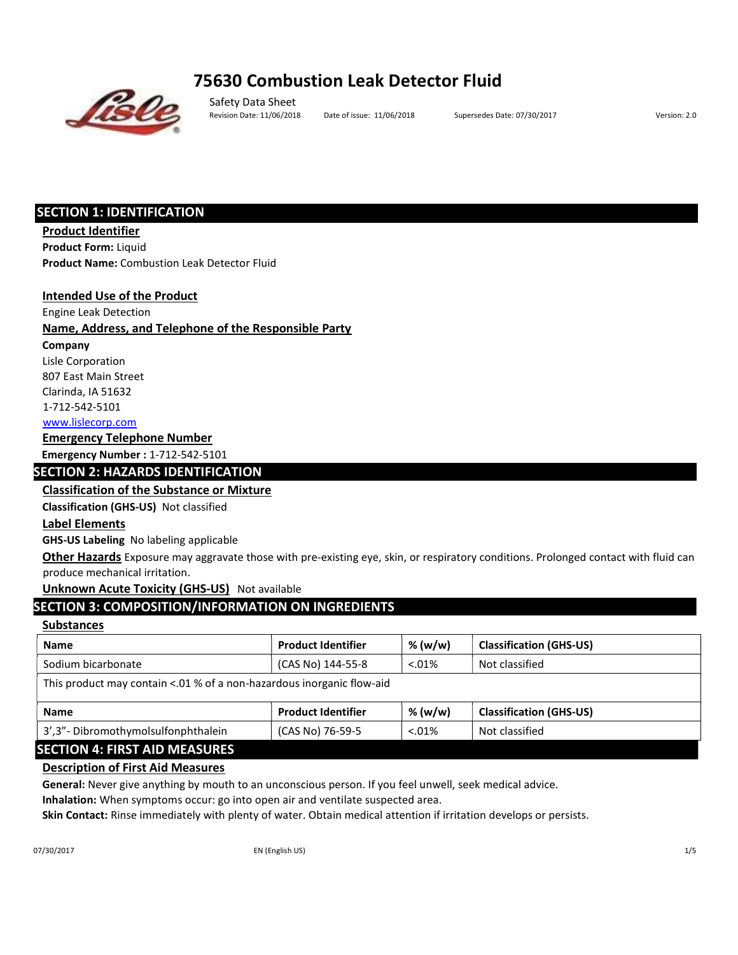# 75630 Combustion Leak Detector Fluid



Safety Data Sheet Revision Date: 11/06/2018 Date of issue: 11/06/2018 Supersedes Date: 07/30/2017 Version: 2.0

## SECTION 1: IDENTIFICATION

Product Identifier Product Form: Liquid Product Name: Combustion Leak Detector Fluid

## Intended Use of the Product

Engine Leak Detection

## Name, Address, and Telephone of the Responsible Party

Company

Lisle Corporation 807 East Main Street

Clarinda, IA 51632

1‐712‐542‐5101

www.lislecorp.com

## Emergency Telephone Number

Emergency Number : 1‐712‐542‐5101

## SECTION 2: HAZARDS IDENTIFICATION

## Classification of the Substance or Mixture

Classification (GHS‐US) Not classified

## Label Elements

GHS‐US Labeling No labeling applicable

Other Hazards Exposure may aggravate those with pre-existing eye, skin, or respiratory conditions. Prolonged contact with fluid can produce mechanical irritation.

## Unknown Acute Toxicity (GHS-US) Not available

## SECTION 3: COMPOSITION/INFORMATION ON INGREDIENTS

## **Substances**

| <b>Name</b>                                                           | <b>Product Identifier</b> | % (w/w)  | <b>Classification (GHS-US)</b> |  |  |  |  |  |
|-----------------------------------------------------------------------|---------------------------|----------|--------------------------------|--|--|--|--|--|
| (CAS No) 144-55-8<br>Sodium bicarbonate<br>Not classified<br>$0.01\%$ |                           |          |                                |  |  |  |  |  |
| This product may contain <.01 % of a non-hazardous inorganic flow-aid |                           |          |                                |  |  |  |  |  |
| <b>Name</b>                                                           | <b>Product Identifier</b> | % (w/w)  | <b>Classification (GHS-US)</b> |  |  |  |  |  |
| 3', 3" - Dibromothymolsulfonphthalein                                 | (CAS No) 76-59-5          | $0.01\%$ | Not classified                 |  |  |  |  |  |

## SECTION 4: FIRST AID MEASURES

## Description of First Aid Measures

General: Never give anything by mouth to an unconscious person. If you feel unwell, seek medical advice.

Inhalation: When symptoms occur: go into open air and ventilate suspected area.

Skin Contact: Rinse immediately with plenty of water. Obtain medical attention if irritation develops or persists.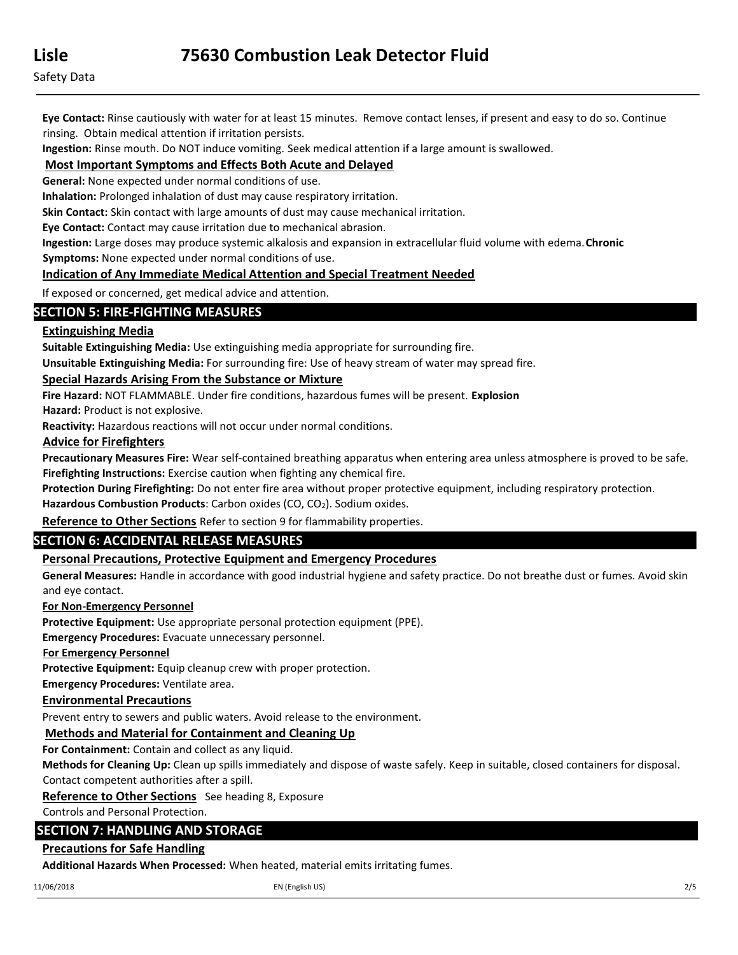Eye Contact: Rinse cautiously with water for at least 15 minutes. Remove contact lenses, if present and easy to do so. Continue rinsing. Obtain medical attention if irritation persists.

Ingestion: Rinse mouth. Do NOT induce vomiting. Seek medical attention if a large amount is swallowed.

## Most Important Symptoms and Effects Both Acute and Delayed

General: None expected under normal conditions of use.

Inhalation: Prolonged inhalation of dust may cause respiratory irritation.

Skin Contact: Skin contact with large amounts of dust may cause mechanical irritation.

Eye Contact: Contact may cause irritation due to mechanical abrasion.

Ingestion: Large doses may produce systemic alkalosis and expansion in extracellular fluid volume with edema. Chronic Symptoms: None expected under normal conditions of use.

## Indication of Any Immediate Medical Attention and Special Treatment Needed

If exposed or concerned, get medical advice and attention.

## SECTION 5: FIRE‐FIGHTING MEASURES

## Extinguishing Media

Suitable Extinguishing Media: Use extinguishing media appropriate for surrounding fire.

Unsuitable Extinguishing Media: For surrounding fire: Use of heavy stream of water may spread fire.

## Special Hazards Arising From the Substance or Mixture

Fire Hazard: NOT FLAMMABLE. Under fire conditions, hazardous fumes will be present. Explosion

Hazard: Product is not explosive.

Reactivity: Hazardous reactions will not occur under normal conditions.

## Advice for Firefighters

Precautionary Measures Fire: Wear self-contained breathing apparatus when entering area unless atmosphere is proved to be safe. Firefighting Instructions: Exercise caution when fighting any chemical fire.

Protection During Firefighting: Do not enter fire area without proper protective equipment, including respiratory protection.

Hazardous Combustion Products: Carbon oxides (CO, CO<sub>2</sub>). Sodium oxides.

Reference to Other Sections Refer to section 9 for flammability properties.

## SECTION 6: ACCIDENTAL RELEASE MEASURES

## Personal Precautions, Protective Equipment and Emergency Procedures

General Measures: Handle in accordance with good industrial hygiene and safety practice. Do not breathe dust or fumes. Avoid skin and eye contact.

## For Non‐Emergency Personnel

Protective Equipment: Use appropriate personal protection equipment (PPE).

Emergency Procedures: Evacuate unnecessary personnel.

## For Emergency Personnel

Protective Equipment: Equip cleanup crew with proper protection.

Emergency Procedures: Ventilate area.

## Environmental Precautions

Prevent entry to sewers and public waters. Avoid release to the environment.

## Methods and Material for Containment and Cleaning Up

For Containment: Contain and collect as any liquid.

Methods for Cleaning Up: Clean up spills immediately and dispose of waste safely. Keep in suitable, closed containers for disposal. Contact competent authorities after a spill.

Reference to Other Sections See heading 8, Exposure

Controls and Personal Protection.

## SECTION 7: HANDLING AND STORAGE

## Precautions for Safe Handling

Additional Hazards When Processed: When heated, material emits irritating fumes.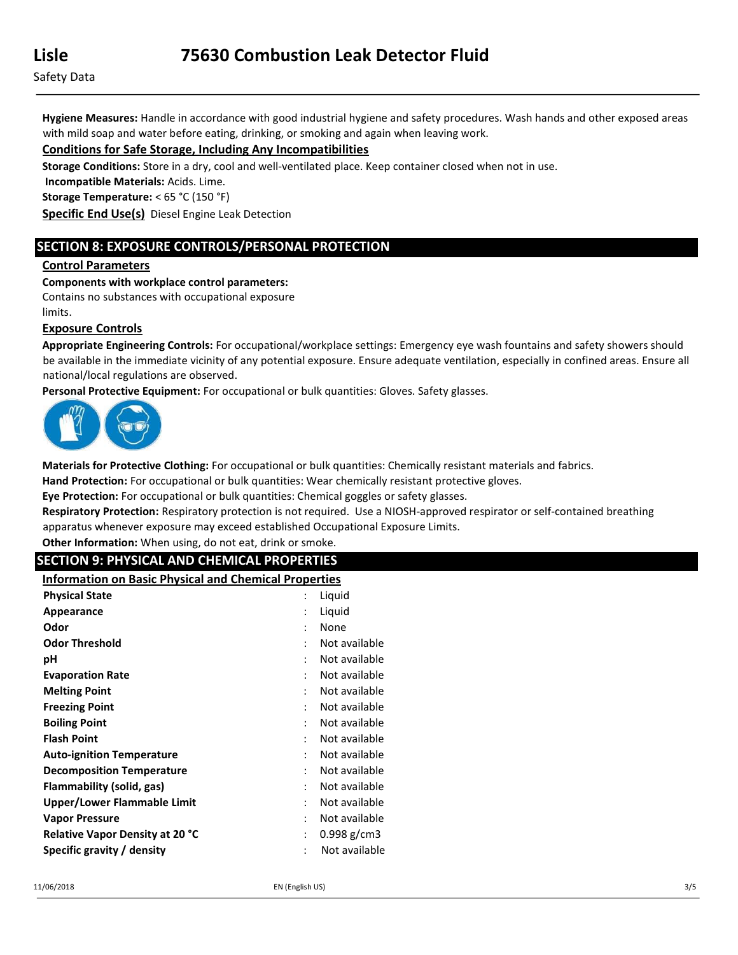Hygiene Measures: Handle in accordance with good industrial hygiene and safety procedures. Wash hands and other exposed areas with mild soap and water before eating, drinking, or smoking and again when leaving work.

## Conditions for Safe Storage, Including Any Incompatibilities

Storage Conditions: Store in a dry, cool and well-ventilated place. Keep container closed when not in use.

Incompatible Materials: Acids. Lime.

Storage Temperature: < 65 °C (150 °F)

Specific End Use(s) Diesel Engine Leak Detection

## SECTION 8: EXPOSURE CONTROLS/PERSONAL PROTECTION

#### Control Parameters

#### Components with workplace control parameters:

Contains no substances with occupational exposure

limits.

#### Exposure Controls

Appropriate Engineering Controls: For occupational/workplace settings: Emergency eye wash fountains and safety showers should be available in the immediate vicinity of any potential exposure. Ensure adequate ventilation, especially in confined areas. Ensure all national/local regulations are observed.

Personal Protective Equipment: For occupational or bulk quantities: Gloves. Safety glasses.



Materials for Protective Clothing: For occupational or bulk quantities: Chemically resistant materials and fabrics.

Hand Protection: For occupational or bulk quantities: Wear chemically resistant protective gloves.

Eye Protection: For occupational or bulk quantities: Chemical goggles or safety glasses.

Respiratory Protection: Respiratory protection is not required. Use a NIOSH-approved respirator or self-contained breathing apparatus whenever exposure may exceed established Occupational Exposure Limits.

Other Information: When using, do not eat, drink or smoke.

## SECTION 9: PHYSICAL AND CHEMICAL PROPERTIES

Information on Basic Physical and Chemical Properties

| <b>Physical State</b>            |                | Liquid        |
|----------------------------------|----------------|---------------|
| Appearance                       |                | Liquid        |
| Odor                             | $\ddot{\cdot}$ | None          |
| <b>Odor Threshold</b>            | ٠              | Not available |
| рH                               |                | Not available |
| <b>Evaporation Rate</b>          |                | Not available |
| <b>Melting Point</b>             |                | Not available |
| <b>Freezing Point</b>            |                | Not available |
| <b>Boiling Point</b>             | ٠              | Not available |
| <b>Flash Point</b>               |                | Not available |
| <b>Auto-ignition Temperature</b> |                | Not available |
| <b>Decomposition Temperature</b> | ٠              | Not available |
| Flammability (solid, gas)        |                | Not available |
| Upper/Lower Flammable Limit      | $\ddot{\cdot}$ | Not available |
| <b>Vapor Pressure</b>            | ٠              | Not available |
| Relative Vapor Density at 20 °C  | :              | $0.998$ g/cm3 |
| Specific gravity / density       |                | Not available |
|                                  |                |               |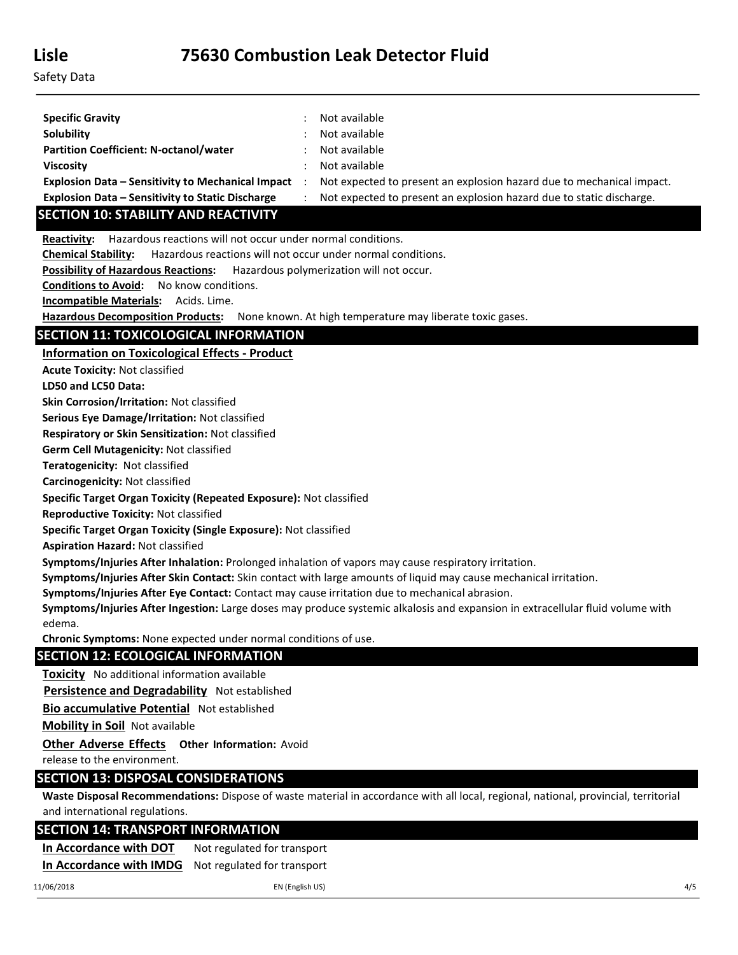| <b>Specific Gravity</b>                                  | Not available                                                         |
|----------------------------------------------------------|-----------------------------------------------------------------------|
| <b>Solubility</b>                                        | Not available                                                         |
| <b>Partition Coefficient: N-octanol/water</b>            | Not available                                                         |
| <b>Viscosity</b>                                         | Not available                                                         |
| <b>Explosion Data - Sensitivity to Mechanical Impact</b> | Not expected to present an explosion hazard due to mechanical impact. |
| <b>Explosion Data - Sensitivity to Static Discharge</b>  | Not expected to present an explosion hazard due to static discharge.  |

# SECTION 10: STABILITY AND REACTIVITY

Reactivity: Hazardous reactions will not occur under normal conditions.

Chemical Stability: Hazardous reactions will not occur under normal conditions.

Possibility of Hazardous Reactions: Hazardous polymerization will not occur.

Conditions to Avoid: No know conditions.

Incompatible Materials: Acids. Lime.

Hazardous Decomposition Products: None known. At high temperature may liberate toxic gases.

## SECTION 11: TOXICOLOGICAL INFORMATION

Information on Toxicological Effects ‐ Product

Acute Toxicity: Not classified

LD50 and LC50 Data:

Skin Corrosion/Irritation: Not classified

Serious Eye Damage/Irritation: Not classified

Respiratory or Skin Sensitization: Not classified

Germ Cell Mutagenicity: Not classified

Teratogenicity: Not classified

Carcinogenicity: Not classified

Specific Target Organ Toxicity (Repeated Exposure): Not classified

Reproductive Toxicity: Not classified

Specific Target Organ Toxicity (Single Exposure): Not classified

Aspiration Hazard: Not classified

Symptoms/Injuries After Inhalation: Prolonged inhalation of vapors may cause respiratory irritation.

Symptoms/Injuries After Skin Contact: Skin contact with large amounts of liquid may cause mechanical irritation.

Symptoms/Injuries After Eye Contact: Contact may cause irritation due to mechanical abrasion.

Symptoms/Injuries After Ingestion: Large doses may produce systemic alkalosis and expansion in extracellular fluid volume with edema.

Chronic Symptoms: None expected under normal conditions of use.

## SECTION 12: ECOLOGICAL INFORMATION

**Toxicity** No additional information available

Persistence and Degradability Not established

Bio accumulative Potential Not established

Mobility in Soil Not available

**Other Adverse Effects Other Information: Avoid** 

release to the environment.

## SECTION 13: DISPOSAL CONSIDERATIONS

Waste Disposal Recommendations: Dispose of waste material in accordance with all local, regional, national, provincial, territorial and international regulations.

## SECTION 14: TRANSPORT INFORMATION

In Accordance with DOT Not regulated for transport In Accordance with IMDG Not regulated for transport